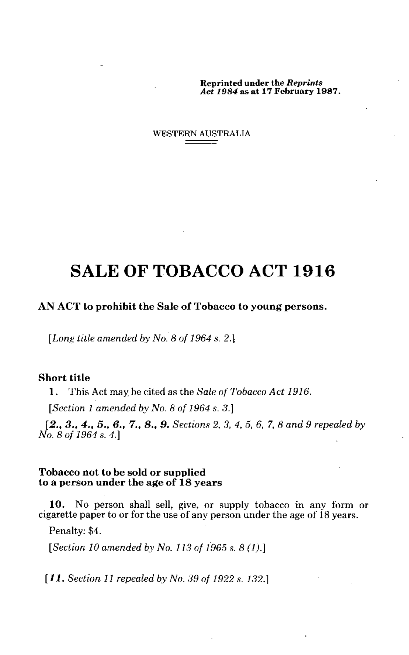Reprinted under the *Reprints Act 1984 as at* 17 February 1987.

WESTERN AUSTRALIA

# SALE OF TOBACCO ACT 1916

#### **AN ACT to prohibit the Sale of Tobacco to young persons.**

*[Long title amended by No. 8 of 1964 s. 2.]*

### **Short title**

**1.** This Act may be cited as the *Sale of Tobacco Act 1916.*

*[Section 1 amended by No. 8 of 1964 s. 3.]*

*[2., 3., 4., 5., 6., 7., 8., 9. Sections 2, 3, 4, 5, 6, 7, 8 and 9 repealed by No. 8 of 1964 s. 4.]*

#### **Tobacco not to be sold or supplied to a person under the age of 18 years**

**10.** No person shall sell, give, or supply tobacco in any form or cigarette paper to or for the use of any person under the age of 18 years.

Penalty: \$4.

*[Section 10 amended by No. 113 of 1965 s. 8 (1).]*

*[11. Section 11 repealed by No. 39 of 1922 s. 132.]*